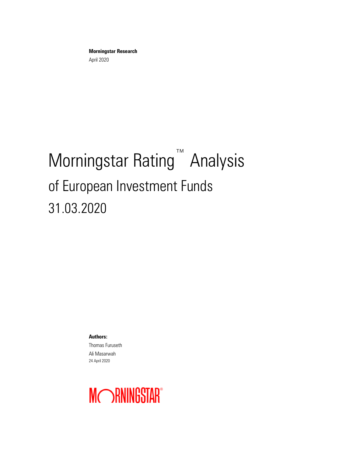**Morningstar Research** April 2020

# Morningstar Rating<sup>™</sup> Analysis of European Investment Funds 31.03.2020

**Authors:** Thomas Furuseth Ali Masarwah 24 April 2020

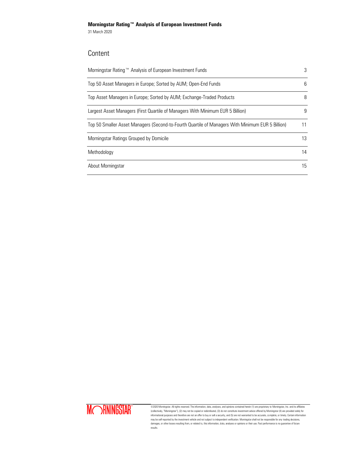31 March 2020

# Content

| Morningstar Rating™ Analysis of European Investment Funds                                        | 3  |
|--------------------------------------------------------------------------------------------------|----|
| Top 50 Asset Managers in Europe; Sorted by AUM; Open-End Funds                                   | 6  |
| Top Asset Managers in Europe; Sorted by AUM; Exchange-Traded Products                            | 8  |
| Largest Asset Managers (First Quartile of Managers With Minimum EUR 5 Billion)                   | 9  |
| Top 50 Smaller Asset Managers (Second-to-Fourth Quartile of Managers With Minimum EUR 5 Billion) | 11 |
| Morningstar Ratings Grouped by Domicile                                                          | 13 |
| Methodology                                                                                      | 14 |
| About Morningstar                                                                                | 15 |



©2020 Morningstar. All rights reserved. The information, data, analyses, and opinions contained herein (1) are proprietary to Morningstar, Inc. and its affiliates<br>(collectively, "Morningstar"), (2) may not be copied or red informational purposes and therefore are not an offer to buy or sell a security, and (5) are not warranted to be accurate, complete, or timely. Certain information<br>may be self-reported by the investment vehicle and not sub results.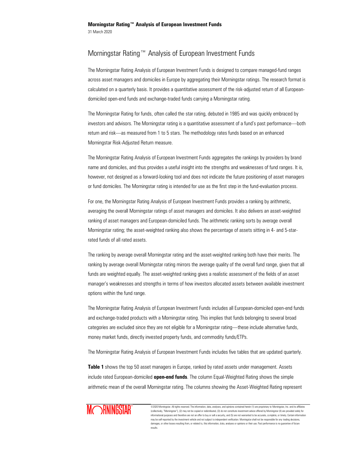The Morningstar Rating Analysis of European Investment Funds is designed to compare managed-fund ranges across asset managers and domiciles in Europe by aggregating their Morningstar ratings. The research format is calculated on a quarterly basis. It provides a quantitative assessment of the risk-adjusted return of all Europeandomiciled open-end funds and exchange-traded funds carrying a Morningstar rating.

The Morningstar Rating for funds, often called the star rating, debuted in 1985 and was quickly embraced by investors and advisors. The Morningstar rating is a quantitative assessment of a fund's past performance—both return and risk—as measured from 1 to 5 stars. The methodology rates funds based on an enhanced Morningstar Risk-Adjusted Return measure.

The Morningstar Rating Analysis of European Investment Funds aggregates the rankings by providers by brand name and domiciles, and thus provides a useful insight into the strengths and weaknesses of fund ranges. It is, however, not designed as a forward-looking tool and does not indicate the future positioning of asset managers or fund domiciles. The Morningstar rating is intended for use as the first step in the fund-evaluation process.

For one, the Morningstar Rating Analysis of European Investment Funds provides a ranking by arithmetic, averaging the overall Morningstar ratings of asset managers and domiciles. It also delivers an asset-weighted ranking of asset managers and European-domiciled funds. The arithmetic ranking sorts by average overall Morningstar rating; the asset-weighted ranking also shows the percentage of assets sitting in 4- and 5-starrated funds of all rated assets.

The ranking by average overall Morningstar rating and the asset-weighted ranking both have their merits. The ranking by average overall Morningstar rating mirrors the average quality of the overall fund range, given that all funds are weighted equally. The asset-weighted ranking gives a realistic assessment of the fields of an asset manager's weaknesses and strengths in terms of how investors allocated assets between available investment options within the fund range.

The Morningstar Rating Analysis of European Investment Funds includes all European-domiciled open-end funds and exchange-traded products with a Morningstar rating. This implies that funds belonging to several broad categories are excluded since they are not eligible for a Morningstar rating—these include alternative funds, money market funds, directly invested property funds, and commodity funds/ETPs.

The Morningstar Rating Analysis of European Investment Funds includes five tables that are updated quarterly.

**Table 1** shows the top 50 asset managers in Europe, ranked by rated assets under management. Assets include rated European-domiciled **open-end funds**. The column Equal-Weighted Rating shows the simple arithmetic mean of the overall Morningstar rating. The columns showing the Asset-Weighted Rating represent

# MORNINGSTAR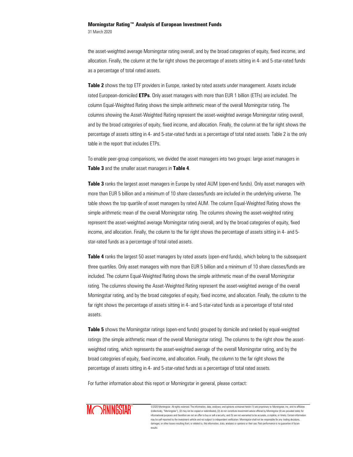31 March 2020

the asset-weighted average Morningstar rating overall, and by the broad categories of equity, fixed income, and allocation. Finally, the column at the far right shows the percentage of assets sitting in 4- and 5-star-rated funds as a percentage of total rated assets.

Table 2 shows the top ETF providers in Europe, ranked by rated assets under management. Assets include rated European-domiciled **ETPs**. Only asset managers with more than EUR 1 billion (ETFs) are included. The column Equal-Weighted Rating shows the simple arithmetic mean of the overall Morningstar rating. The columns showing the Asset-Weighted Rating represent the asset-weighted average Morningstar rating overall, and by the broad categories of equity, fixed income, and allocation. Finally, the column at the far right shows the percentage of assets sitting in 4- and 5-star-rated funds as a percentage of total rated assets. Table 2 is the only table in the report that includes ETPs.

To enable peer-group comparisons, we divided the asset managers into two groups: large asset managers in **Table 3** and the smaller asset managers in **Table 4**.

**Table 3** ranks the largest asset managers in Europe by rated AUM (open-end funds). Only asset managers with more than EUR 5 billion and a minimum of 10 share classes/funds are included in the underlying universe. The table shows the top quartile of asset managers by rated AUM. The column Equal-Weighted Rating shows the simple arithmetic mean of the overall Morningstar rating. The columns showing the asset-weighted rating represent the asset-weighted average Morningstar rating overall, and by the broad categories of equity, fixed income, and allocation. Finally, the column to the far right shows the percentage of assets sitting in 4- and 5 star-rated funds as a percentage of total rated assets.

**Table 4** ranks the largest 50 asset managers by rated assets (open-end funds), which belong to the subsequent three quartiles. Only asset managers with more than EUR 5 billion and a minimum of 10 share classes/funds are included. The column Equal-Weighted Rating shows the simple arithmetic mean of the overall Morningstar rating. The columns showing the Asset-Weighted Rating represent the asset-weighted average of the overall Morningstar rating, and by the broad categories of equity, fixed income, and allocation. Finally, the column to the far right shows the percentage of assets sitting in 4- and 5-star-rated funds as a percentage of total rated assets.

**Table 5** shows the Morningstar ratings (open-end funds) grouped by domicile and ranked by equal-weighted ratings (the simple arithmetic mean of the overall Morningstar rating). The columns to the right show the assetweighted rating, which represents the asset-weighted average of the overall Morningstar rating, and by the broad categories of equity, fixed income, and allocation. Finally, the column to the far right shows the percentage of assets sitting in 4- and 5-star-rated funds as a percentage of total rated assets.

For further information about this report or Morningstar in general, please contact:

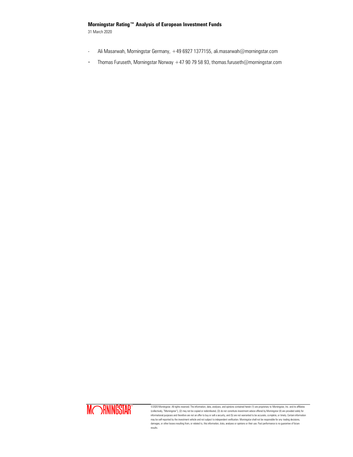31 March 2020

- Ali Masarwah, Morningstar Germany, +49 6927 1377155, ali.masarwah@morningstar.com
- Thomas Furuseth, Morningstar Norway +47 90 79 58 93, thomas.furuseth@morningstar.com

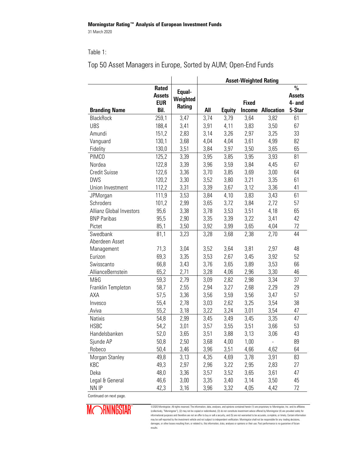### Table 1:

#### **Asset-Weighted Rating Branding Name Rated Assets EUR Bil. Equal-Weighted Rating All Equity Fixed Income Allocation % Assets 4- and 5-Star** BlackRock 259,1 3,47 3,74 3,79 3,64 3,82 61 UBS 188,4 3,41 3,91 4,11 3,83 3,50 67 Amundi 151,2 2,83 3,14 3,26 2,97 3,25 33 Vanguard 130,1 3,68 4,04 4,04 3,61 4,99 82 Fidelity 130,0 3,51 3,84 3,97 3,50 3,65 65 PIMCO 125,2 3,39 3,95 3,85 3,95 3,93 81 Nordea 122,8 3,39 3,96 3,59 3,84 4,45 67 Credit Suisse 122,6 3,36 3,70 3,85 3,69 3,00 64 DWS 120,2 3,30 3,52 3,80 3,21 3,35 61 Union Investment 112,2 3,31 3,39 3,67 3,12 3,36 41 JPMorgan 111,9 3,53 3,84 4,10 3,83 3,43 61 Schroders 101,2 2,99 3,65 3,72 3,84 2,72 57 Allianz Global Investors 95,6 3,38 3,78 3,53 3,51 4,18 65 BNP Paribas 35,5 2,90 3,35 3,39 3,22 3,41 42 Pictet 85,1 3,50 3,92 3,99 3,65 4,04 72 Swedbank 81,1 3,23 3,28 3,68 2,38 2,70 44 Aberdeen Asset Management 71,3 3,04 3,52 3,64 3,81 2,97 48 Eurizon 69,3 3,35 3,53 2,67 3,45 3,92 52 Swisscanto 66,8 3,43 3,76 3,65 3,89 3,53 66 AllianceBernstein 65,2 2,71 3,28 4,06 2,96 3,30 46 M&G 59,3 2,79 3,09 2,82 2,98 3,34 37 Franklin Templeton 58,7 2,55 2,94 3,27 2,68 2,29 29 AXA 57,5 3,36 3,56 3,59 3,56 3,47 57 Invesco 55,4 2,78 3,03 2,62 3,25 3,54 38 Aviva 55,2 3,18 3,22 3,24 3,01 3,54 47 Natixis 54,8 2,99 3,45 3,49 3,45 3,35 47 HSBC 54,2 3,01 3,57 3,55 3,51 3,66 53 Handelsbanken 52,0 3,65 3,51 3,88 3,13 3,06 43 Sjunde AP 50,8 2,50 3,68 4,00 1,00 - 89 Robeco 50,4 3,46 3,96 3,51 4,66 4,62 64 Morgan Stanley 49,8 3,13 4,35 4,69 3,78 3,91 83 KBC 49,3 2,97 2,96 3,22 2,95 2,83 27 Deka 48,0 3,36 3,57 3,52 3,65 3,61 47 Legal & General 46,6 3,00 3,35 3,40 3,14 3,50 45 NN IP 42,3 | 3,16 | 3,96 3,32 4,05 4,42 72

# Top 50 Asset Managers in Europe, Sorted by AUM; Open-End Funds

Continued on next page.

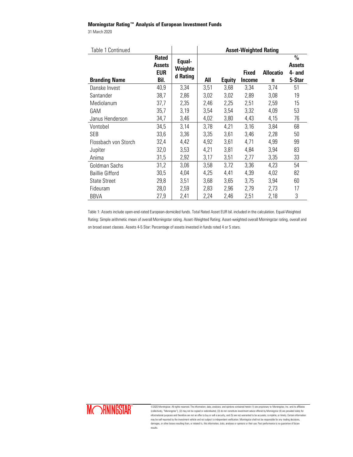31 March 2020

| Table 1 Continued      |                                      |                   | <b>Asset-Weighted Rating</b> |               |               |                  |                                          |  |
|------------------------|--------------------------------------|-------------------|------------------------------|---------------|---------------|------------------|------------------------------------------|--|
|                        | <b>Rated</b><br><b>Assets</b><br>EUR | Equal-<br>Weighte |                              |               | <b>Fixed</b>  | <b>Allocatio</b> | $\frac{0}{0}$<br><b>Assets</b><br>4- and |  |
| <b>Branding Name</b>   | Bil.                                 | d Rating          | All                          | <b>Equity</b> | <b>Income</b> | $\mathbf n$      | 5-Star                                   |  |
| Danske Invest          | 40,9                                 | 3,34              | 3,51                         | 3,68          | 3,34          | 3,74             | 51                                       |  |
| Santander              | 38,7                                 | 2,86              | 3,02                         | 3,02          | 2,89          | 3,08             | 19                                       |  |
| Mediolanum             | 37,7                                 | 2,35              | 2,46                         | 2,25          | 2,51          | 2,59             | 15                                       |  |
| GAM                    | 35,7                                 | 3,19              | 3,54                         | 3,54          | 3,32          | 4,09             | 53                                       |  |
| Janus Henderson        | 34,7                                 | 3,46              | 4,02                         | 3,80          | 4,43          | 4,15             | 76                                       |  |
| Vontobel               | 34,5                                 | 3,14              | 3,78                         | 4,21          | 3,16          | 3,84             | 68                                       |  |
| SEB                    | 33,6                                 | 3,36              | 3,35                         | 3,61          | 3,46          | 2,28             | 50                                       |  |
| Flossbach von Storch   | 32,4                                 | 4,42              | 4,92                         | 3,61          | 4,71          | 4,99             | 99                                       |  |
| Jupiter                | 32,0                                 | 3,53              | 4,21                         | 3,81          | 4,84          | 3,94             | 83                                       |  |
| Anima                  | 31,5                                 | 2,92              | 3,17                         | 3,51          | 2,77          | 3,35             | 33                                       |  |
| Goldman Sachs          | 31,2                                 | 3,06              | 3,58                         | 3,72          | 3,36          | 4,23             | 54                                       |  |
| <b>Baillie Gifford</b> | 30,5                                 | 4,04              | 4,25                         | 4,41          | 4,39          | 4,02             | 82                                       |  |
| <b>State Street</b>    | 29,8                                 | 3,51              | 3,68                         | 3,65          | 3,75          | 3,94             | 60                                       |  |
| Fideuram               | 28,0                                 | 2,59              | 2,83                         | 2,96          | 2,79          | 2,73             | 17                                       |  |
| <b>BBVA</b>            | 27,9                                 | 2,41              | 2,24                         | 2,46          | 2,51          | 2,18             | 3                                        |  |

Table 1: Assets include open-end-rated European-domiciled funds. Total Rated Asset EUR bil. included in the calculation. Equal-Weighted Rating: Simple arithmetic mean of overall Morningstar rating. Asset-Weighted Rating: Asset-weighted overall Morningstar rating, overall and on broad asset classes. Assets 4-5 Star: Percentage of assets invested in funds rated 4 or 5 stars.

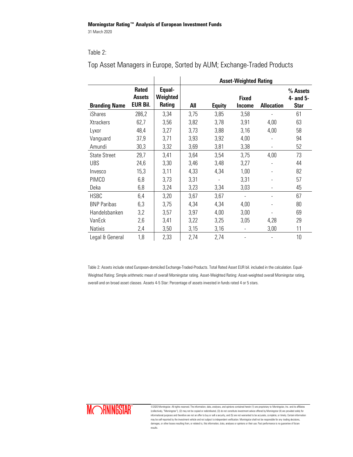## Table 2:

|                      |                                           |                              | <b>Asset-Weighted Rating</b> |               |                               |                   |                                      |  |  |
|----------------------|-------------------------------------------|------------------------------|------------------------------|---------------|-------------------------------|-------------------|--------------------------------------|--|--|
| <b>Branding Name</b> | <b>Rated</b><br>Assets<br><b>EUR Bil.</b> | Equal-<br>Weighted<br>Rating | All                          | <b>Equity</b> | <b>Fixed</b><br><b>Income</b> | <b>Allocation</b> | % Assets<br>4- and 5-<br><b>Star</b> |  |  |
| iShares              | 286,2                                     | 3,34                         | 3,75                         | 3,85          | 3,58                          |                   | 61                                   |  |  |
| <b>Xtrackers</b>     | 62,7                                      | 3,56                         | 3,82                         | 3,78          | 3,91                          | 4,00              | 63                                   |  |  |
| Lyxor                | 48,4                                      | 3,27                         | 3,73                         | 3,88          | 3,16                          | 4,00              | 58                                   |  |  |
| Vanguard             | 37,9                                      | 3,71                         | 3,93                         | 3,92          | 4,00                          |                   | 94                                   |  |  |
| Amundi               | 30,3                                      | 3,32                         | 3,69                         | 3,81          | 3,38                          |                   | 52                                   |  |  |
| <b>State Street</b>  | 29,7                                      | 3,41                         | 3,64                         | 3,54          | 3,75                          | 4,00              | 73                                   |  |  |
| <b>UBS</b>           | 24,6                                      | 3,30                         | 3,46                         | 3,48          | 3,27                          |                   | 44                                   |  |  |
| Invesco              | 15,3                                      | 3,11                         | 4,33                         | 4,34          | 1,00                          |                   | 82                                   |  |  |
| PIMCO                | 6,8                                       | 3,73                         | 3,31                         |               | 3,31                          |                   | 57                                   |  |  |
| Deka                 | 6,8                                       | 3,24                         | 3,23                         | 3,34          | 3,03                          |                   | 45                                   |  |  |
| <b>HSBC</b>          | 6,4                                       | 3,20                         | 3,67                         | 3,67          | $\overline{a}$                |                   | 67                                   |  |  |
| <b>BNP Paribas</b>   | 6,3                                       | 3,75                         | 4,34                         | 4,34          | 4,00                          |                   | 80                                   |  |  |
| Handelsbanken        | 3,2                                       | 3,57                         | 3,97                         | 4,00          | 3,00                          |                   | 69                                   |  |  |
| VanEck               | 2,6                                       | 3,41                         | 3,22                         | 3,25          | 3,05                          | 4,28              | 29                                   |  |  |
| <b>Natixis</b>       | 2,4                                       | 3,50                         | 3,15                         | 3,16          |                               | 3,00              | 11                                   |  |  |
| Legal & General      | 1,8                                       | 2,33                         | 2,74                         | 2,74          |                               |                   | 10                                   |  |  |

Top Asset Managers in Europe, Sorted by AUM; Exchange-Traded Products

Table 2: Assets include rated European-domiciled Exchange-Traded-Products. Total Rated Asset EUR bil. included in the calculation. Equal-Weighted Rating: Simple arithmetic mean of overall Morningstar rating. Asset-Weighted Rating: Asset-weighted overall Morningstar rating, overall and on broad asset classes. Assets 4-5 Star: Percentage of assets invested in funds rated 4 or 5 stars.

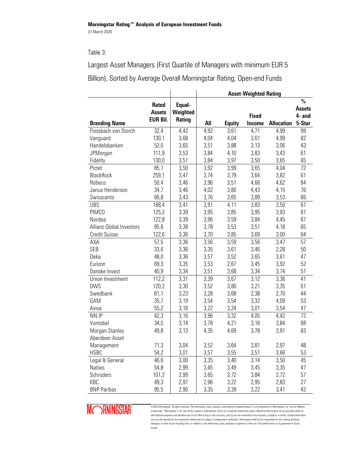# Table 3:

Largest Asset Managers (First Quartile of Managers with minimum EUR 5 Billion), Sorted by Average Overall Morningstar Rating; Open-end Funds

|                                 |                 |          | <b>Asset-Weighted Rating</b> |               |               |                   |               |
|---------------------------------|-----------------|----------|------------------------------|---------------|---------------|-------------------|---------------|
|                                 | <b>Rated</b>    | Equal-   |                              |               |               |                   | $\%$          |
|                                 | <b>Assets</b>   | Weighted |                              |               |               |                   | <b>Assets</b> |
|                                 | <b>EUR Bil.</b> | Rating   |                              |               | <b>Fixed</b>  |                   | 4- and        |
| <b>Branding Name</b>            |                 |          | All                          | <b>Equity</b> | <b>Income</b> | <b>Allocation</b> | 5-Star        |
| Flossbach von Storch            | 32,4            | 4,42     | 4,92                         | 3,61          | 4,71          | 4,99              | 99            |
| Vanguard                        | 130,1           | 3,68     | 4,04                         | 4,04          | 3,61          | 4,99              | 82            |
| Handelsbanken                   | 52,0            | 3,65     | 3,51                         | 3,88          | 3,13          | 3,06              | 43            |
| JPMorgan                        | 111,9           | 3,53     | 3,84                         | 4,10          | 3,83          | 3,43              | 61            |
| Fidelity                        | 130,0           | 3,51     | 3,84                         | 3,97          | 3,50          | 3,65              | 65            |
| Pictet                          | 85,1            | 3,50     | 3,92                         | 3,99          | 3,65          | 4,04              | 72            |
| <b>BlackRock</b>                | 259,1           | 3,47     | 3,74                         | 3,79          | 3,64          | 3,82              | 61            |
| Robeco                          | 50,4            | 3,46     | 3,96                         | 3,51          | 4,66          | 4,62              | 64            |
| Janus Henderson                 | 34,7            | 3,46     | 4,02                         | 3,80          | 4,43          | 4,15              | 76            |
| Swisscanto                      | 66,8            | 3,43     | 3,76                         | 3,65          | 3,89          | 3,53              | 66            |
| <b>UBS</b>                      | 188,4           | 3,41     | 3,91                         | 4,11          | 3,83          | 3,50              | 67            |
| PIMCO                           | 125,2           | 3,39     | 3,95                         | 3,85          | 3,95          | 3,93              | 81            |
| Nordea                          | 122,8           | 3,39     | 3,96                         | 3,59          | 3,84          | 4,45              | 67            |
| <b>Allianz Global Investors</b> | 95,6            | 3,38     | 3,78                         | 3,53          | 3,51          | 4,18              | 65            |
| <b>Credit Suisse</b>            | 122,6           | 3,36     | 3,70                         | 3,85          | 3,69          | 3,00              | 64            |
| AXA                             | 57,5            | 3,36     | 3,56                         | 3,59          | 3,56          | 3,47              | 57            |
| <b>SEB</b>                      | 33,6            | 3,36     | 3,35                         | 3,61          | 3,46          | 2,28              | 50            |
| Deka                            | 48,0            | 3,36     | 3,57                         | 3,52          | 3,65          | 3,61              | 47            |
| Eurizon                         | 69,3            | 3,35     | 3,53                         | 2,67          | 3,45          | 3,92              | 52            |
| Danske Invest                   | 40,9            | 3,34     | 3,51                         | 3,68          | 3,34          | 3,74              | 51            |
| Union Investment                | 112,2           | 3,31     | 3,39                         | 3,67          | 3,12          | 3,36              | 41            |
| <b>DWS</b>                      | 120,2           | 3,30     | 3,52                         | 3,80          | 3,21          | 3,35              | 61            |
| Swedbank                        | 81,1            | 3,23     | 3,28                         | 3,68          | 2,38          | 2,70              | 44            |
| GAM                             | 35,7            | 3,19     | 3,54                         | 3,54          | 3,32          | 4,09              | 53            |
| Aviva                           | 55,2            | 3,18     | 3,22                         | 3,24          | 3,01          | 3,54              | 47            |
| NN IP                           | 42,3            | 3,16     | 3,96                         | 3,32          | 4,05          | 4,42              | 72            |
| Vontobel                        | 34,5            | 3,14     | 3,78                         | 4,21          | 3,16          | 3,84              | 68            |
| Morgan Stanley                  | 49,8            | 3,13     | 4,35                         | 4,69          | 3,78          | 3,91              | 83            |
| Aberdeen Asset                  |                 |          |                              |               |               |                   |               |
| Management                      | 71,3            | 3,04     | 3,52                         | 3,64          | 3,81          | 2,97              | 48            |
| <b>HSBC</b>                     | 54,2            | 3,01     | 3,57                         | 3,55          | 3,51          | 3,66              | 53            |
| Legal & General                 | 46,6            | 3,00     | 3,35                         | 3,40          | 3,14          | 3,50              | 45            |
| <b>Natixis</b>                  | 54,8            | 2,99     | 3,45                         | 3,49          | 3,45          | 3,35              | 47            |
| Schroders                       | 101,2           | 2,99     | 3,65                         | 3,72          | 3,84          | 2,72              | 57            |
| KBC                             | 49,3            | 2,97     | 2,96                         | 3,22          | 2,95          | 2,83              | 27            |
| <b>BNP Paribas</b>              | 95,5            | 2,90     | 3,35                         | 3,39          | 3,22          | 3,41              | 42            |

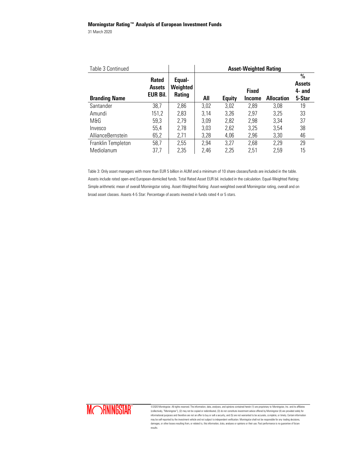31 March 2020

| Table 3 Continued    |                                           |                                     | <b>Asset-Weighted Rating</b> |               |                        |                   |                                                    |  |
|----------------------|-------------------------------------------|-------------------------------------|------------------------------|---------------|------------------------|-------------------|----------------------------------------------------|--|
| <b>Branding Name</b> | <b>Rated</b><br>Assets<br><b>EUR Bil.</b> | Equal-<br>Weighted<br><b>Rating</b> | All                          | <b>Equity</b> | <b>Fixed</b><br>Income | <b>Allocation</b> | $\frac{0}{0}$<br><b>Assets</b><br>4- and<br>5-Star |  |
| Santander            | 38,7                                      | 2,86                                | 3,02                         | 3,02          | 2,89                   | 3,08              | 19                                                 |  |
| Amundi               | 151,2                                     | 2,83                                | 3,14                         | 3,26          | 2,97                   | 3,25              | 33                                                 |  |
| M&G                  | 59,3                                      | 2,79                                | 3,09                         | 2,82          | 2,98                   | 3,34              | 37                                                 |  |
| Invesco              | 55,4                                      | 2,78                                | 3,03                         | 2,62          | 3,25                   | 3,54              | 38                                                 |  |
| AllianceBernstein    | 65,2                                      | 2,71                                | 3,28                         | 4,06          | 2,96                   | 3,30              | 46                                                 |  |
| Franklin Templeton   | 58,7                                      | 2,55                                | 2,94                         | 3,27          | 2,68                   | 2,29              | 29                                                 |  |
| Mediolanum           | 37,7                                      | 2,35                                | 2,46                         | 2,25          | 2,51                   | 2,59              | 15                                                 |  |

Table 3: Only asset managers with more than EUR 5 billion in AUM and a minimum of 10 share classes/funds are included in the table. Assets include rated open-end European-domiciled funds. Total Rated Asset EUR bil. included in the calculation. Equal-Weighted Rating: Simple arithmetic mean of overall Morningstar rating. Asset-Weighted Rating: Asset-weighted overall Morningstar rating, overall and on broad asset classes. Assets 4-5 Star: Percentage of assets invested in funds rated 4 or 5 stars.

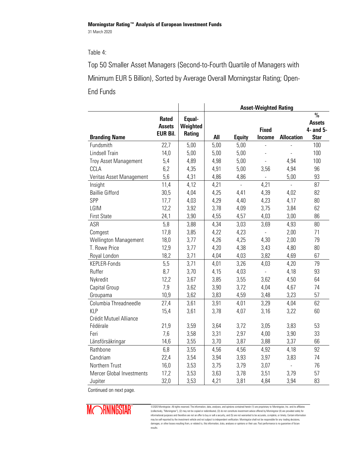# Table 4:

Top 50 Smaller Asset Managers (Second-to-Fourth Quartile of Managers with Minimum EUR 5 Billion), Sorted by Average Overall Morningstar Rating; Open-End Funds

|                           |                 |          | <b>Asset-Weighted Rating</b> |                           |                               |                           |                          |  |
|---------------------------|-----------------|----------|------------------------------|---------------------------|-------------------------------|---------------------------|--------------------------|--|
|                           | <b>Rated</b>    | Equal-   |                              |                           |                               |                           | $\frac{0}{0}$            |  |
|                           | <b>Assets</b>   | Weighted |                              |                           |                               |                           | <b>Assets</b>            |  |
| <b>Branding Name</b>      | <b>EUR Bil.</b> | Rating   | All                          | <b>Equity</b>             | <b>Fixed</b><br><b>Income</b> | <b>Allocation</b>         | 4- and 5-<br><b>Star</b> |  |
| Fundsmith                 | 22,7            | 5,00     | 5,00                         | 5,00                      | $\overline{a}$                |                           | 100                      |  |
| Lindsell Train            | 14,0            | 5,00     | 5,00                         | 5,00                      | $\overline{a}$                | $\overline{a}$            | 100                      |  |
| Troy Asset Management     | 5,4             | 4,89     | 4,98                         | 5,00                      | $\frac{1}{2}$                 | 4,94                      | 100                      |  |
| CCLA                      | 6,2             | 4,35     | 4,91                         | 5,00                      | 3,56                          | 4,94                      | 96                       |  |
| Veritas Asset Management  | 5,6             | 4,31     | 4,86                         | 4,86                      | $\mathbf{r}$                  | 5,00                      | 93                       |  |
| Insight                   | 11,4            | 4,12     | 4,21                         | $\mathbb{Z}^{\mathbb{Z}}$ | 4,21                          | $\mathbb{L}^{\mathbb{N}}$ | 87                       |  |
| <b>Baillie Gifford</b>    | 30,5            | 4,04     | 4,25                         | 4,41                      | 4,39                          | 4,02                      | 82                       |  |
| SPP                       | 17,7            | 4,03     | 4,29                         | 4,40                      | 4,23                          | 4,17                      | 80                       |  |
| LGIM                      | 12,2            | 3,92     | 3,78                         | 4,09                      | 3,75                          | 3,84                      | 62                       |  |
| <b>First State</b>        | 24,1            | 3,90     | 4,55                         | 4,57                      | 4,03                          | 3,00                      | 86                       |  |
| ASR                       | 5,8             | 3,88     | 4,34                         | 3,03                      | 3,69                          | 4,93                      | 80                       |  |
| Comgest                   | 17,8            | 3,85     | 4,22                         | 4,23                      | $\overline{a}$                | 2,00                      | 71                       |  |
| Wellington Management     | 18,0            | 3,77     | 4,26                         | 4,25                      | 4,30                          | 2,00                      | 79                       |  |
| T. Rowe Price             | 12,9            | 3,77     | 4,20                         | 4,38                      | 3,43                          | 4,80                      | 80                       |  |
| Royal London              | 18,2            | 3,71     | 4,04                         | 4,03                      | 3,82                          | 4,69                      | 67                       |  |
| KEPLER-Fonds              | 5,5             | 3,71     | 4,01                         | 3,26                      | 4,03                          | 4,20                      | 79                       |  |
| Ruffer                    | 8,7             | 3,70     | 4,15                         | 4,03                      | $\overline{a}$                | 4,18                      | 93                       |  |
| Nykredit                  | 12,2            | 3,67     | 3,85                         | 3,55                      | 3,62                          | 4,50                      | 64                       |  |
| Capital Group             | 7,9             | 3,62     | 3,90                         | 3,72                      | 4,04                          | 4,67                      | 74                       |  |
| Groupama                  | 10,9            | 3,62     | 3,83                         | 4,59                      | 3,48                          | 3,23                      | 57                       |  |
| Columbia Threadneedle     | 27,4            | 3,61     | 3,91                         | 4,01                      | 3,29                          | 4,04                      | 62                       |  |
| <b>KLP</b>                | 15,4            | 3,61     | 3,78                         | 4,07                      | 3,16                          | 3,22                      | 60                       |  |
| Crédit Mutuel Alliance    |                 |          |                              |                           |                               |                           |                          |  |
| Fédérale                  | 21,9            | 3,59     | 3,64                         | 3,72                      | 3,05                          | 3,83                      | 53                       |  |
| Feri                      | 7,6             | 3,58     | 3,31                         | 2,97                      | 4,00                          | 3,90                      | 33                       |  |
| Länsförsäkringar          | 14,6            | 3,55     | 3,70                         | 3,87                      | 3,88                          | 3,37                      | 66                       |  |
| Rathbone                  | 6,8             | 3,55     | 4,56                         | 4,56                      | 4,92                          | 4,18                      | 92                       |  |
| Candriam                  | 22,4            | 3,54     | 3,94                         | 3,93                      | 3,97                          | 3,83                      | 74                       |  |
| Northern Trust            | 16,0            | 3,53     | 3,75                         | 3,79                      | 3,07                          | $\overline{a}$            | 76                       |  |
| Mercer Global Investments | 17,2            | 3,53     | 3,63                         | 3,78                      | 3,51                          | 3,79                      | 57                       |  |
| Jupiter                   | 32,0            | 3,53     | 4,21                         | 3,81                      | 4,84                          | 3,94                      | 83                       |  |

Continued on next page.

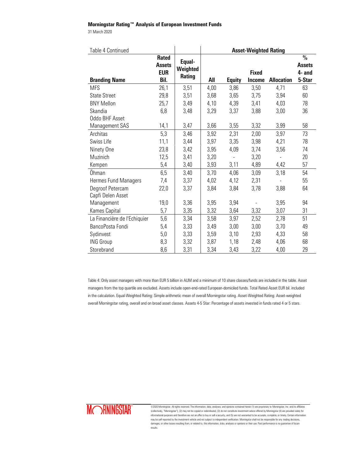31 March 2020

| Table 4 Continued            |                                                     | <b>Asset-Weighted Rating</b> |      |                |                               |                   |                                                    |
|------------------------------|-----------------------------------------------------|------------------------------|------|----------------|-------------------------------|-------------------|----------------------------------------------------|
| <b>Branding Name</b>         | <b>Rated</b><br><b>Assets</b><br><b>EUR</b><br>Bil. | Equal-<br>Weighted<br>Rating | All  | <b>Equity</b>  | <b>Fixed</b><br><b>Income</b> | <b>Allocation</b> | $\frac{0}{0}$<br><b>Assets</b><br>4- and<br>5-Star |
| <b>MFS</b>                   | 26,1                                                | 3,51                         | 4,00 | 3,86           | 3,50                          | 4,71              | 63                                                 |
| <b>State Street</b>          | 29,8                                                | 3,51                         | 3,68 | 3,65           | 3,75                          | 3,94              | 60                                                 |
| <b>BNY Mellon</b>            | 25,7                                                | 3,49                         | 4,10 | 4,39           | 3,41                          | 4,03              | 78                                                 |
| Skandia                      | 6,8                                                 | 3,48                         | 3,29 | 3,37           | 3,88                          | 3,00              | 36                                                 |
| Oddo BHF Asset               |                                                     |                              |      |                |                               |                   |                                                    |
| Management SAS               | 14,1                                                | 3,47                         | 3,66 | 3,55           | 3,32                          | 3,99              | 58                                                 |
| Architas                     | 5,3                                                 | 3,46                         | 3,92 | 2,31           | 2,00                          | 3,97              | 73                                                 |
| Swiss Life                   | 11,1                                                | 3,44                         | 3,97 | 3,35           | 3,98                          | 4,21              | 78                                                 |
| Ninety One                   | 23,8                                                | 3,42                         | 3,95 | 4,09           | 3,74                          | 3,56              | 74                                                 |
| Muzinich                     | 12,5                                                | 3,41                         | 3,20 | $\overline{a}$ | 3,20                          |                   | 20                                                 |
| Kempen                       | 5,4                                                 | 3,40                         | 3,93 | 3,11           | 4,89                          | 4,42              | 57                                                 |
| Öhman                        | 6,5                                                 | 3,40                         | 3,70 | 4,06           | 3,09                          | 3,18              | 54                                                 |
| Hermes Fund Managers         | 7,4                                                 | 3,37                         | 4,02 | 4,12           | 2,31                          |                   | 55                                                 |
| Degroof Petercam             | 22,0                                                | 3,37                         | 3,84 | 3,84           | 3,78                          | 3,88              | 64                                                 |
| Capfi Delen Asset            |                                                     |                              |      |                |                               |                   |                                                    |
| Management                   | 19,0                                                | 3,36                         | 3,95 | 3,94           |                               | 3,95              | 94                                                 |
| Kames Capital                | 5,7                                                 | 3,35                         | 3,32 | 3,64           | 3,32                          | 3,07              | 31                                                 |
| La Financière de l'Echiquier | 5,6                                                 | 3,34                         | 3,58 | 3,97           | 2,52                          | 2,78              | 51                                                 |
| BancoPosta Fondi             | 5,4                                                 | 3,33                         | 3,49 | 3,00           | 3,00                          | 3,70              | 49                                                 |
| Sydinvest                    | 5,0                                                 | 3,33                         | 3,59 | 3,10           | 2,93                          | 4,33              | 58                                                 |
| <b>ING Group</b>             | 8,3                                                 | 3,32                         | 3,87 | 1,18           | 2,48                          | 4,06              | 68                                                 |
| Storebrand                   | 8,6                                                 | 3,31                         | 3,34 | 3,43           | 3,22                          | 4,00              | 29                                                 |

Table 4: Only asset managers with more than EUR 5 billion in AUM and a minimum of 10 share classes/funds are included in the table. Asset managers from the top quartile are excluded. Assets include open-end-rated European-domiciled funds. Total Rated Asset EUR bil. included in the calculation. Equal-Weighted Rating: Simple arithmetic mean of overall Morningstar rating. Asset-Weighted Rating: Asset-weighted overall Morningstar rating, overall and on broad asset classes. Assets 4-5 Star: Percentage of assets invested in funds rated 4 or 5 stars.

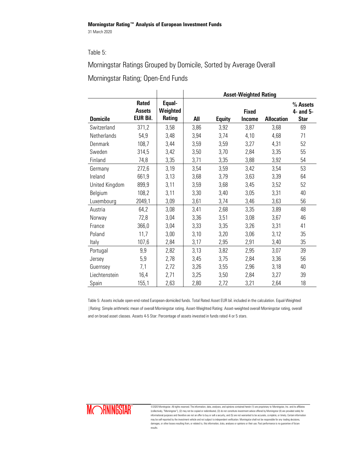# Table 5:

Morningstar Ratings Grouped by Domicile, Sorted by Average Overall Morningstar Rating; Open-End Funds

|                 |                                           |                              | <b>Asset-Weighted Rating</b> |               |                               |                   |                                      |  |  |  |
|-----------------|-------------------------------------------|------------------------------|------------------------------|---------------|-------------------------------|-------------------|--------------------------------------|--|--|--|
| <b>Domicile</b> | <b>Rated</b><br><b>Assets</b><br>EUR Bil. | Equal-<br>Weighted<br>Rating | All                          | <b>Equity</b> | <b>Fixed</b><br><b>Income</b> | <b>Allocation</b> | % Assets<br>4- and 5-<br><b>Star</b> |  |  |  |
| Switzerland     | 371,2                                     | 3,58                         | 3,86                         | 3,92          | 3,87                          | 3,68              | 69                                   |  |  |  |
| Netherlands     | 54,9                                      | 3,48                         | 3,94                         | 3,74          | 4,10                          | 4,68              | 71                                   |  |  |  |
| Denmark         | 108,7                                     | 3,44                         | 3,59                         | 3,59          | 3,27                          | 4,31              | 52                                   |  |  |  |
| Sweden          | 314,5                                     | 3,42                         | 3,50                         | 3,70          | 2,84                          | 3,35              | 55                                   |  |  |  |
| Finland         | 74,8                                      | 3,35                         | 3,71                         | 3,35          | 3,88                          | 3,92              | 54                                   |  |  |  |
| Germany         | 272,6                                     | 3,19                         | 3,54                         | 3,59          | 3,42                          | 3,54              | 53                                   |  |  |  |
| Ireland         | 661,9                                     | 3,13                         | 3,68                         | 3,79          | 3,63                          | 3,39              | 64                                   |  |  |  |
| United Kingdom  | 899,9                                     | 3,11                         | 3,59                         | 3,68          | 3,45                          | 3,52              | 52                                   |  |  |  |
| Belgium         | 108,2                                     | 3,11                         | 3,30                         | 3,40          | 3,05                          | 3,31              | 40                                   |  |  |  |
| Luxembourg      | 2049,1                                    | 3,09                         | 3,61                         | 3,74          | 3,46                          | 3,63              | 56                                   |  |  |  |
| Austria         | 64,2                                      | 3,08                         | 3,41                         | 2,68          | 3,35                          | 3,89              | 48                                   |  |  |  |
| Norway          | 72,8                                      | 3,04                         | 3,36                         | 3,51          | 3,08                          | 3,67              | 46                                   |  |  |  |
| France          | 366,0                                     | 3,04                         | 3,33                         | 3,35          | 3,26                          | 3,31              | 41                                   |  |  |  |
| Poland          | 11,7                                      | 3,00                         | 3,10                         | 3,20          | 3,06                          | 3,12              | 35                                   |  |  |  |
| Italy           | 107,6                                     | 2,84                         | 3,17                         | 2,95          | 2,91                          | 3,40              | 35                                   |  |  |  |
| Portugal        | 9,9                                       | 2,82                         | 3,13                         | 3,82          | 2,95                          | 3,07              | 39                                   |  |  |  |
| Jersey          | 5,9                                       | 2,78                         | 3,45                         | 3,75          | 2,84                          | 3,36              | 56                                   |  |  |  |
| Guernsey        | 7,1                                       | 2,72                         | 3,26                         | 3,55          | 2,96                          | 3,18              | 40                                   |  |  |  |
| Liechtenstein   | 16,4                                      | 2,71                         | 3,25                         | 3,50          | 2,84                          | 3,27              | 39                                   |  |  |  |
| Spain           | 155,1                                     | 2,63                         | 2,80                         | 2,72          | 3,21                          | 2,64              | 18                                   |  |  |  |

Table 5: Assets include open-end-rated European-domiciled funds. Total Rated Asset EUR bil. included in the calculation. Equal-Weighted |Rating: Simple arithmetic mean of overall Morningstar rating. Asset-Weighted Rating: Asset-weighted overall Morningstar rating, overall and on broad asset classes. Assets 4-5 Star: Percentage of assets invested in funds rated 4 or 5 stars.

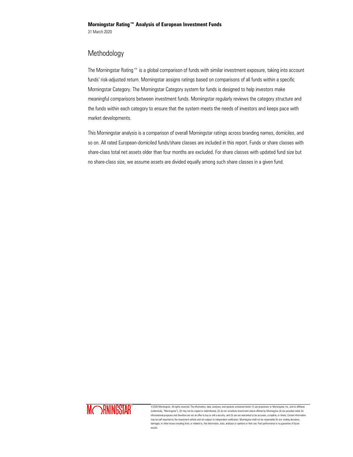# Methodology

The Morningstar Rating™ is a global comparison of funds with similar investment exposure, taking into account funds' risk-adjusted return. Morningstar assigns ratings based on comparisons of all funds within a specific Morningstar Category. The Morningstar Category system for funds is designed to help investors make meaningful comparisons between investment funds. Morningstar regularly reviews the category structure and the funds within each category to ensure that the system meets the needs of investors and keeps pace with market developments.

This Morningstar analysis is a comparison of overall Morningstar ratings across branding names, domiciles, and so on. All rated European-domiciled funds/share classes are included in this report. Funds or share classes with share-class total net assets older than four months are excluded. For share classes with updated fund size but no share-class size, we assume assets are divided equally among such share classes in a given fund.